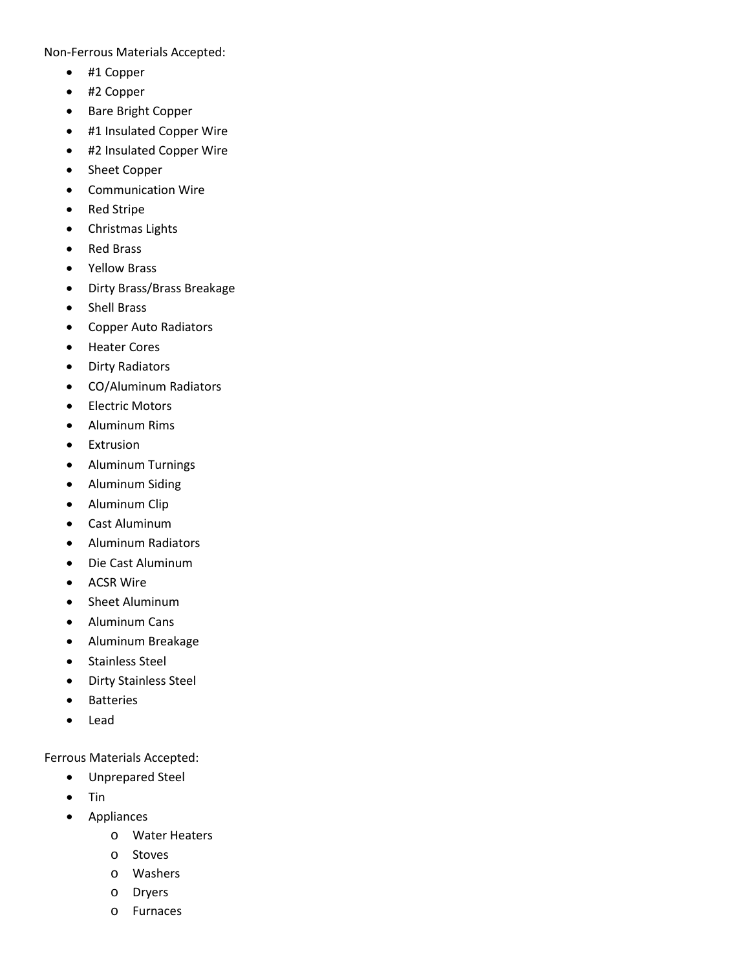Non-Ferrous Materials Accepted:

- #1 Copper
- #2 Copper
- Bare Bright Copper
- #1 Insulated Copper Wire
- #2 Insulated Copper Wire
- Sheet Copper
- Communication Wire
- Red Stripe
- Christmas Lights
- Red Brass
- Yellow Brass
- Dirty Brass/Brass Breakage
- Shell Brass
- Copper Auto Radiators
- Heater Cores
- Dirty Radiators
- CO/Aluminum Radiators
- Electric Motors
- Aluminum Rims
- Extrusion
- Aluminum Turnings
- Aluminum Siding
- Aluminum Clip
- Cast Aluminum
- Aluminum Radiators
- Die Cast Aluminum
- ACSR Wire
- Sheet Aluminum
- Aluminum Cans
- Aluminum Breakage
- Stainless Steel
- Dirty Stainless Steel
- Batteries
- Lead

Ferrous Materials Accepted:

- Unprepared Steel
- Tin
- Appliances
	- o Water Heaters
	- o Stoves
	- o Washers
	- o Dryers
	- o Furnaces